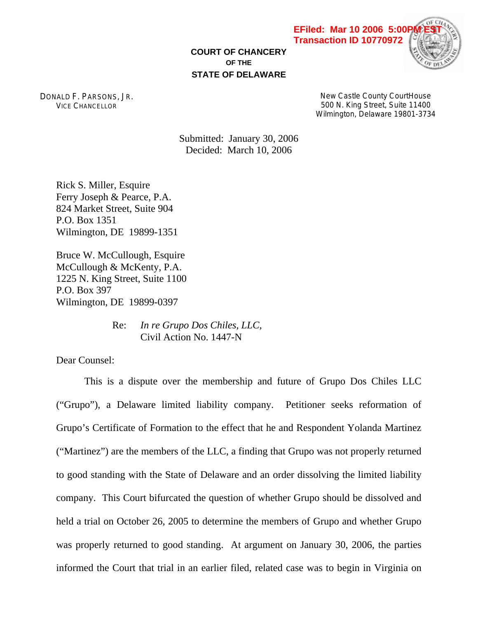**COURT OF CHANCERY OF THE STATE OF DELAWARE**



DONALD F. PARSONS, JR. VICE CHANCELLOR

New Castle County CourtHouse 500 N. King Street, Suite 11400 Wilmington, Delaware 19801-3734

Submitted: January 30, 2006 Decided: March 10, 2006

Rick S. Miller, Esquire Ferry Joseph & Pearce, P.A. 824 Market Street, Suite 904 P.O. Box 1351 Wilmington, DE 19899-1351

Bruce W. McCullough, Esquire McCullough & McKenty, P.A. 1225 N. King Street, Suite 1100 P.O. Box 397 Wilmington, DE 19899-0397

> Re: *In re Grupo Dos Chiles, LLC,*  Civil Action No. 1447-N

Dear Counsel:

This is a dispute over the membership and future of Grupo Dos Chiles LLC ("Grupo"), a Delaware limited liability company. Petitioner seeks reformation of Grupo's Certificate of Formation to the effect that he and Respondent Yolanda Martinez ("Martinez") are the members of the LLC, a finding that Grupo was not properly returned to good standing with the State of Delaware and an order dissolving the limited liability company. This Court bifurcated the question of whether Grupo should be dissolved and held a trial on October 26, 2005 to determine the members of Grupo and whether Grupo was properly returned to good standing. At argument on January 30, 2006, the parties informed the Court that trial in an earlier filed, related case was to begin in Virginia on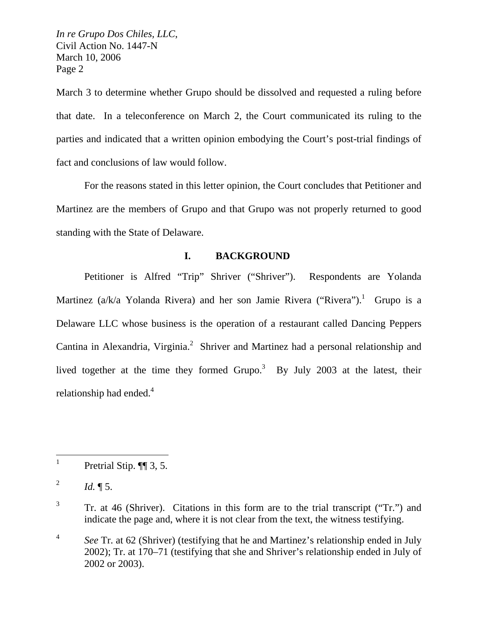March 3 to determine whether Grupo should be dissolved and requested a ruling before that date. In a teleconference on March 2, the Court communicated its ruling to the parties and indicated that a written opinion embodying the Court's post-trial findings of fact and conclusions of law would follow.

For the reasons stated in this letter opinion, the Court concludes that Petitioner and Martinez are the members of Grupo and that Grupo was not properly returned to good standing with the State of Delaware.

# **I. BACKGROUND**

Petitioner is Alfred "Trip" Shriver ("Shriver"). Respondents are Yolanda Martinez (a/k/a Yolanda Rivera) and her son Jamie Rivera ("Rivera").<sup>1</sup> Grupo is a Delaware LLC whose business is the operation of a restaurant called Dancing Peppers Cantina in Alexandria, Virginia.<sup>2</sup> Shriver and Martinez had a personal relationship and lived together at the time they formed Grupo.<sup>3</sup> By July 2003 at the latest, their relationship had ended.<sup>4</sup>

 $\overline{a}$ 

3 Tr. at 46 (Shriver). Citations in this form are to the trial transcript ("Tr.") and indicate the page and, where it is not clear from the text, the witness testifying.

<sup>1</sup> Pretrial Stip. ¶¶ 3, 5.

<sup>&</sup>lt;sup>2</sup> *Id.*  $\P 5$ .

<sup>&</sup>lt;sup>4</sup> *See Tr. at 62 (Shriver) (testifying that he and Martinez's relationship ended in July* 2002); Tr. at 170–71 (testifying that she and Shriver's relationship ended in July of 2002 or 2003).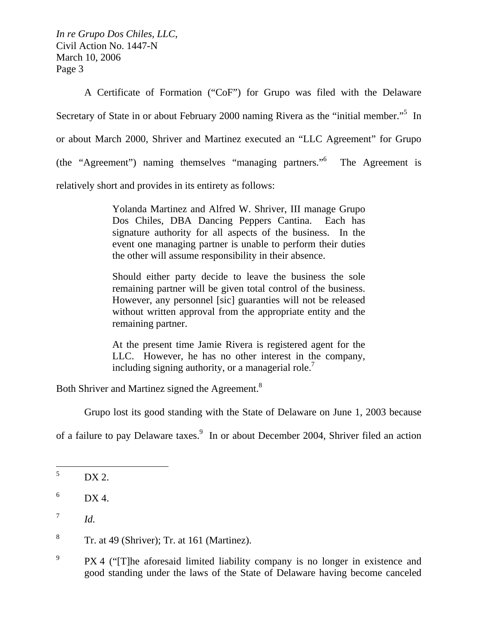A Certificate of Formation ("CoF") for Grupo was filed with the Delaware Secretary of State in or about February 2000 naming Rivera as the "initial member."<sup>5</sup> In or about March 2000, Shriver and Martinez executed an "LLC Agreement" for Grupo (the "Agreement") naming themselves "managing partners."6 The Agreement is relatively short and provides in its entirety as follows:

> Yolanda Martinez and Alfred W. Shriver, III manage Grupo Dos Chiles, DBA Dancing Peppers Cantina. Each has signature authority for all aspects of the business. In the event one managing partner is unable to perform their duties the other will assume responsibility in their absence.

> Should either party decide to leave the business the sole remaining partner will be given total control of the business. However, any personnel [sic] guaranties will not be released without written approval from the appropriate entity and the remaining partner.

> At the present time Jamie Rivera is registered agent for the LLC. However, he has no other interest in the company, including signing authority, or a managerial role.<sup>7</sup>

Both Shriver and Martinez signed the Agreement.<sup>8</sup>

Grupo lost its good standing with the State of Delaware on June 1, 2003 because

of a failure to pay Delaware taxes.<sup>9</sup> In or about December 2004, Shriver filed an action

8 Tr. at 49 (Shriver); Tr. at 161 (Martinez).

<sup>5</sup> DX 2.

<sup>6</sup> DX 4.

 $^7$  *Id.* 

<sup>9</sup> PX 4 ("[T]he aforesaid limited liability company is no longer in existence and good standing under the laws of the State of Delaware having become canceled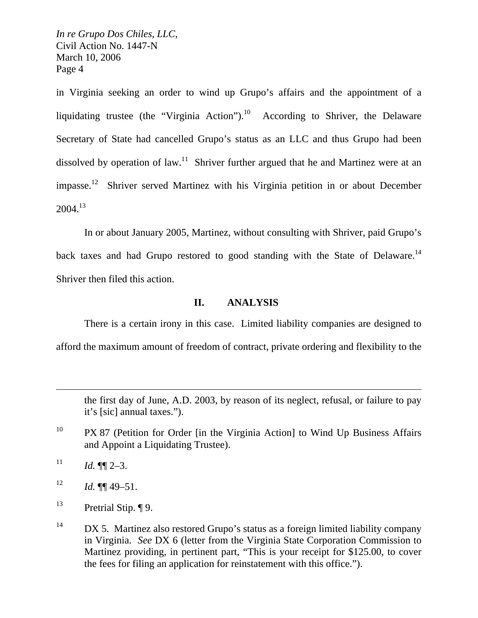in Virginia seeking an order to wind up Grupo's affairs and the appointment of a liquidating trustee (the "Virginia Action").<sup>10</sup> According to Shriver, the Delaware Secretary of State had cancelled Grupo's status as an LLC and thus Grupo had been dissolved by operation of law.<sup>11</sup> Shriver further argued that he and Martinez were at an impasse.12 Shriver served Martinez with his Virginia petition in or about December  $2004.<sup>13</sup>$ 

In or about January 2005, Martinez, without consulting with Shriver, paid Grupo's back taxes and had Grupo restored to good standing with the State of Delaware.<sup>14</sup> Shriver then filed this action.

### **II. ANALYSIS**

There is a certain irony in this case. Limited liability companies are designed to afford the maximum amount of freedom of contract, private ordering and flexibility to the

the first day of June, A.D. 2003, by reason of its neglect, refusal, or failure to pay it's [sic] annual taxes.").

 $11$  *Id.* **¶**  $2-3$ .

 $\overline{a}$ 

 $12$  *Id.* **[1]** 49–51.

<sup>13</sup> Pretrial Stip.  $\P$ 9.

 $14$  DX 5. Martinez also restored Grupo's status as a foreign limited liability company in Virginia. *See* DX 6 (letter from the Virginia State Corporation Commission to Martinez providing, in pertinent part, "This is your receipt for \$125.00, to cover the fees for filing an application for reinstatement with this office.").

<sup>&</sup>lt;sup>10</sup> PX 87 (Petition for Order [in the Virginia Action] to Wind Up Business Affairs and Appoint a Liquidating Trustee).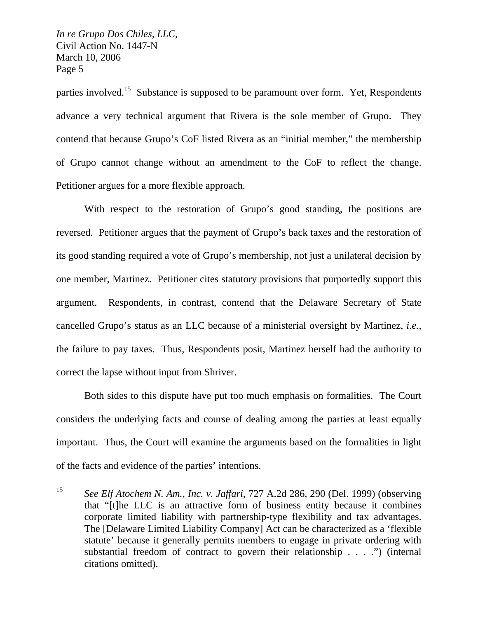parties involved.<sup>15</sup> Substance is supposed to be paramount over form. Yet, Respondents advance a very technical argument that Rivera is the sole member of Grupo. They contend that because Grupo's CoF listed Rivera as an "initial member," the membership of Grupo cannot change without an amendment to the CoF to reflect the change. Petitioner argues for a more flexible approach.

With respect to the restoration of Grupo's good standing, the positions are reversed. Petitioner argues that the payment of Grupo's back taxes and the restoration of its good standing required a vote of Grupo's membership, not just a unilateral decision by one member, Martinez. Petitioner cites statutory provisions that purportedly support this argument. Respondents, in contrast, contend that the Delaware Secretary of State cancelled Grupo's status as an LLC because of a ministerial oversight by Martinez, *i.e.*, the failure to pay taxes. Thus, Respondents posit, Martinez herself had the authority to correct the lapse without input from Shriver.

Both sides to this dispute have put too much emphasis on formalities. The Court considers the underlying facts and course of dealing among the parties at least equally important. Thus, the Court will examine the arguments based on the formalities in light of the facts and evidence of the parties' intentions.

 $15<sup>15</sup>$ <sup>15</sup> *See Elf Atochem N. Am., Inc. v. Jaffari*, 727 A.2d 286, 290 (Del. 1999) (observing that "[t]he LLC is an attractive form of business entity because it combines corporate limited liability with partnership-type flexibility and tax advantages. The [Delaware Limited Liability Company] Act can be characterized as a 'flexible statute' because it generally permits members to engage in private ordering with substantial freedom of contract to govern their relationship . . . .") (internal citations omitted).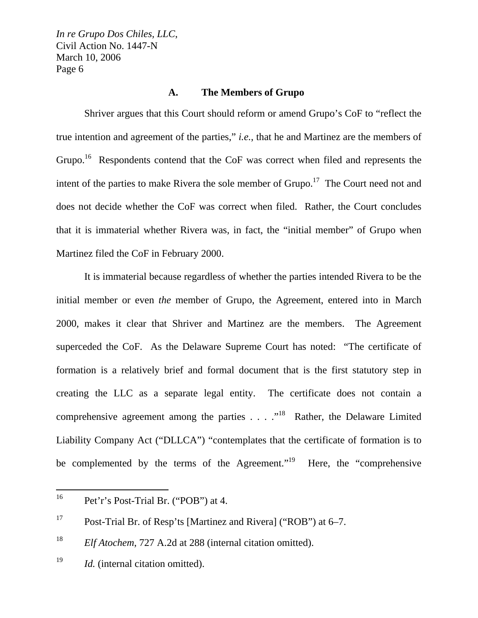#### **A. The Members of Grupo**

Shriver argues that this Court should reform or amend Grupo's CoF to "reflect the true intention and agreement of the parties," *i.e.*, that he and Martinez are the members of Grupo.<sup>16</sup> Respondents contend that the CoF was correct when filed and represents the intent of the parties to make Rivera the sole member of  $Grupo.<sup>17</sup>$  The Court need not and does not decide whether the CoF was correct when filed. Rather, the Court concludes that it is immaterial whether Rivera was, in fact, the "initial member" of Grupo when Martinez filed the CoF in February 2000.

It is immaterial because regardless of whether the parties intended Rivera to be the initial member or even *the* member of Grupo, the Agreement, entered into in March 2000, makes it clear that Shriver and Martinez are the members. The Agreement superceded the CoF. As the Delaware Supreme Court has noted: "The certificate of formation is a relatively brief and formal document that is the first statutory step in creating the LLC as a separate legal entity. The certificate does not contain a comprehensive agreement among the parties  $\ldots$  ."<sup>18</sup> Rather, the Delaware Limited Liability Company Act ("DLLCA") "contemplates that the certificate of formation is to be complemented by the terms of the Agreement."<sup>19</sup> Here, the "comprehensive"

<sup>16</sup> Pet'r's Post-Trial Br. ("POB") at 4.

<sup>&</sup>lt;sup>17</sup> Post-Trial Br. of Resp'ts [Martinez and Rivera] ("ROB") at  $6-7$ .

<sup>&</sup>lt;sup>18</sup> *Elf Atochem*, 727 A.2d at 288 (internal citation omitted).

<sup>&</sup>lt;sup>19</sup> *Id.* (internal citation omitted).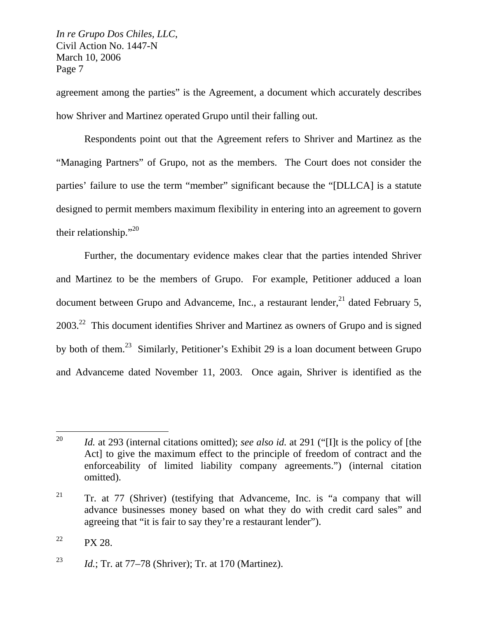agreement among the parties" is the Agreement, a document which accurately describes how Shriver and Martinez operated Grupo until their falling out.

Respondents point out that the Agreement refers to Shriver and Martinez as the "Managing Partners" of Grupo, not as the members. The Court does not consider the parties' failure to use the term "member" significant because the "[DLLCA] is a statute designed to permit members maximum flexibility in entering into an agreement to govern their relationship."<sup>20</sup>

Further, the documentary evidence makes clear that the parties intended Shriver and Martinez to be the members of Grupo. For example, Petitioner adduced a loan document between Grupo and Advanceme, Inc., a restaurant lender, $^{21}$  dated February 5, 2003<sup>22</sup> This document identifies Shriver and Martinez as owners of Grupo and is signed by both of them.23 Similarly, Petitioner's Exhibit 29 is a loan document between Grupo and Advanceme dated November 11, 2003. Once again, Shriver is identified as the

<sup>22</sup> PX 28.

<sup>20</sup> Id. at 293 (internal citations omitted); *see also id.* at 291 ("Ill is the policy of [the Act] to give the maximum effect to the principle of freedom of contract and the enforceability of limited liability company agreements.") (internal citation omitted).

<sup>&</sup>lt;sup>21</sup> Tr. at 77 (Shriver) (testifying that Advanceme, Inc. is "a company that will advance businesses money based on what they do with credit card sales" and agreeing that "it is fair to say they're a restaurant lender").

<sup>23</sup> *Id.*; Tr. at 77–78 (Shriver); Tr. at 170 (Martinez).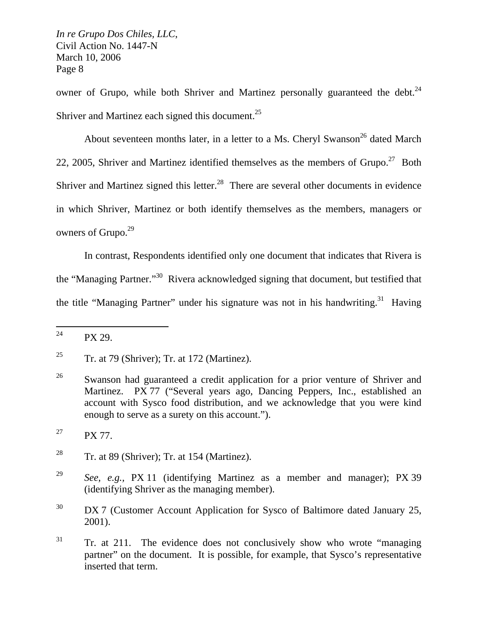owner of Grupo, while both Shriver and Martinez personally guaranteed the debt. $^{24}$ Shriver and Martinez each signed this document.<sup>25</sup>

About seventeen months later, in a letter to a Ms. Cheryl Swanson<sup>26</sup> dated March 22, 2005, Shriver and Martinez identified themselves as the members of  $Grupo.<sup>27</sup>$  Both Shriver and Martinez signed this letter.<sup>28</sup> There are several other documents in evidence in which Shriver, Martinez or both identify themselves as the members, managers or owners of Grupo.<sup>29</sup>

In contrast, Respondents identified only one document that indicates that Rivera is the "Managing Partner."30 Rivera acknowledged signing that document, but testified that the title "Managing Partner" under his signature was not in his handwriting.<sup>31</sup> Having

<sup>24</sup> PX 29.

<sup>&</sup>lt;sup>25</sup> Tr. at 79 (Shriver); Tr. at 172 (Martinez).

<sup>&</sup>lt;sup>26</sup> Swanson had guaranteed a credit application for a prior venture of Shriver and Martinez. PX 77 ("Several years ago, Dancing Peppers, Inc., established an account with Sysco food distribution, and we acknowledge that you were kind enough to serve as a surety on this account.").

<sup>&</sup>lt;sup>27</sup> PX 77.

<sup>&</sup>lt;sup>28</sup> Tr. at 89 (Shriver); Tr. at 154 (Martinez).

<sup>29</sup> *See, e.g.,* PX 11 (identifying Martinez as a member and manager); PX 39 (identifying Shriver as the managing member).

 $30$  DX 7 (Customer Account Application for Sysco of Baltimore dated January 25, 2001).

 $31$  Tr. at 211. The evidence does not conclusively show who wrote "managing" partner" on the document. It is possible, for example, that Sysco's representative inserted that term.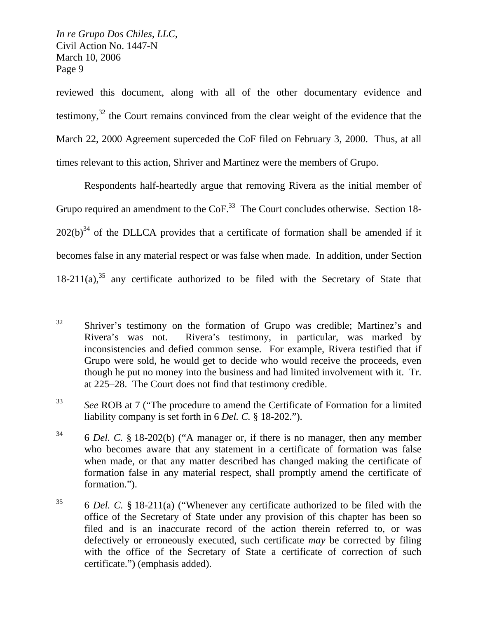reviewed this document, along with all of the other documentary evidence and testimony, $32$  the Court remains convinced from the clear weight of the evidence that the March 22, 2000 Agreement superceded the CoF filed on February 3, 2000. Thus, at all times relevant to this action, Shriver and Martinez were the members of Grupo.

Respondents half-heartedly argue that removing Rivera as the initial member of Grupo required an amendment to the CoF.<sup>33</sup> The Court concludes otherwise. Section 18- $202(b)^{34}$  of the DLLCA provides that a certificate of formation shall be amended if it becomes false in any material respect or was false when made. In addition, under Section  $18-211(a)$ ,<sup>35</sup> any certificate authorized to be filed with the Secretary of State that

<sup>33</sup> *See* ROB at 7 ("The procedure to amend the Certificate of Formation for a limited liability company is set forth in 6 *Del. C.* § 18-202.").

<sup>32</sup> Shriver's testimony on the formation of Grupo was credible; Martinez's and Rivera's was not. Rivera's testimony, in particular, was marked by inconsistencies and defied common sense. For example, Rivera testified that if Grupo were sold, he would get to decide who would receive the proceeds, even though he put no money into the business and had limited involvement with it. Tr. at 225–28. The Court does not find that testimony credible.

<sup>34 6</sup> *Del. C.* § 18-202(b) ("A manager or, if there is no manager, then any member who becomes aware that any statement in a certificate of formation was false when made, or that any matter described has changed making the certificate of formation false in any material respect, shall promptly amend the certificate of formation.").

<sup>35 6</sup> *Del. C.* § 18-211(a) ("Whenever any certificate authorized to be filed with the office of the Secretary of State under any provision of this chapter has been so filed and is an inaccurate record of the action therein referred to, or was defectively or erroneously executed, such certificate *may* be corrected by filing with the office of the Secretary of State a certificate of correction of such certificate.") (emphasis added).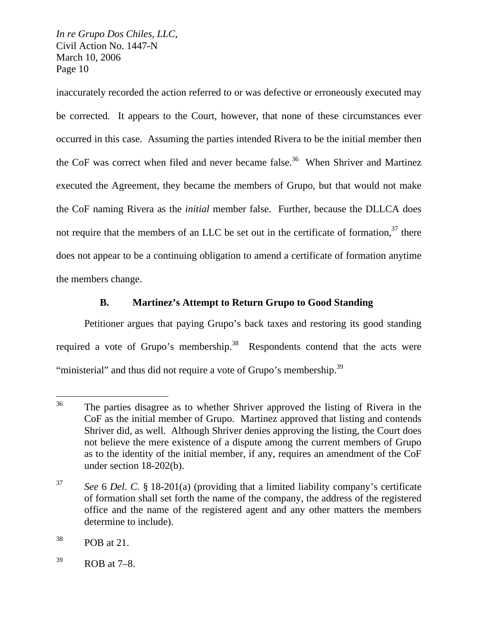inaccurately recorded the action referred to or was defective or erroneously executed may be corrected. It appears to the Court, however, that none of these circumstances ever occurred in this case. Assuming the parties intended Rivera to be the initial member then the CoF was correct when filed and never became false.<sup>36</sup> When Shriver and Martinez executed the Agreement, they became the members of Grupo, but that would not make the CoF naming Rivera as the *initial* member false. Further, because the DLLCA does not require that the members of an LLC be set out in the certificate of formation,  $37$  there does not appear to be a continuing obligation to amend a certificate of formation anytime the members change.

# **B. Martinez's Attempt to Return Grupo to Good Standing**

Petitioner argues that paying Grupo's back taxes and restoring its good standing required a vote of Grupo's membership.<sup>38</sup> Respondents contend that the acts were "ministerial" and thus did not require a vote of Grupo's membership.<sup>39</sup>

<sup>36</sup> The parties disagree as to whether Shriver approved the listing of Rivera in the CoF as the initial member of Grupo. Martinez approved that listing and contends Shriver did, as well. Although Shriver denies approving the listing, the Court does not believe the mere existence of a dispute among the current members of Grupo as to the identity of the initial member, if any, requires an amendment of the CoF under section 18-202(b).

<sup>37</sup> *See* 6 *Del. C.* § 18-201(a) (providing that a limited liability company's certificate of formation shall set forth the name of the company, the address of the registered office and the name of the registered agent and any other matters the members determine to include).

 $38$  POB at 21.

 $39$  ROB at 7–8.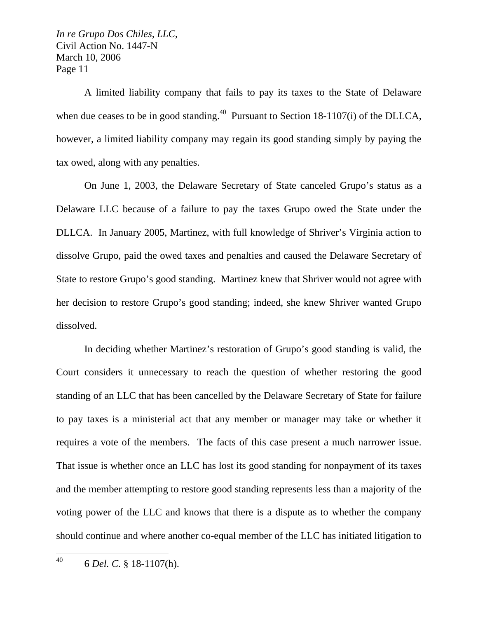A limited liability company that fails to pay its taxes to the State of Delaware when due ceases to be in good standing.<sup>40</sup> Pursuant to Section 18-1107(i) of the DLLCA, however, a limited liability company may regain its good standing simply by paying the tax owed, along with any penalties.

On June 1, 2003, the Delaware Secretary of State canceled Grupo's status as a Delaware LLC because of a failure to pay the taxes Grupo owed the State under the DLLCA. In January 2005, Martinez, with full knowledge of Shriver's Virginia action to dissolve Grupo, paid the owed taxes and penalties and caused the Delaware Secretary of State to restore Grupo's good standing. Martinez knew that Shriver would not agree with her decision to restore Grupo's good standing; indeed, she knew Shriver wanted Grupo dissolved.

In deciding whether Martinez's restoration of Grupo's good standing is valid, the Court considers it unnecessary to reach the question of whether restoring the good standing of an LLC that has been cancelled by the Delaware Secretary of State for failure to pay taxes is a ministerial act that any member or manager may take or whether it requires a vote of the members. The facts of this case present a much narrower issue. That issue is whether once an LLC has lost its good standing for nonpayment of its taxes and the member attempting to restore good standing represents less than a majority of the voting power of the LLC and knows that there is a dispute as to whether the company should continue and where another co-equal member of the LLC has initiated litigation to

40 40 6 *Del. C.* § 18-1107(h).